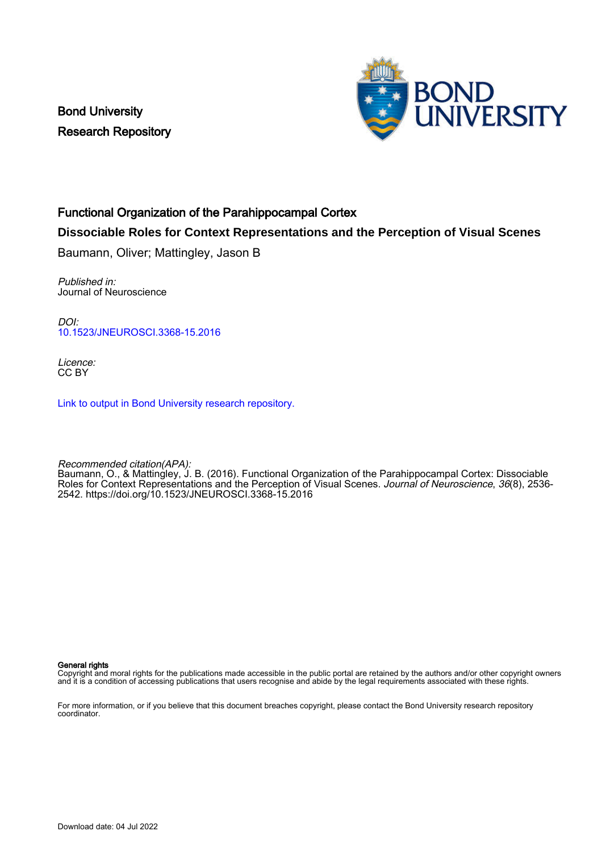Bond University Research Repository



# Functional Organization of the Parahippocampal Cortex

# **Dissociable Roles for Context Representations and the Perception of Visual Scenes**

Baumann, Oliver; Mattingley, Jason B

Published in: Journal of Neuroscience

 $D$  $O$ [10.1523/JNEUROSCI.3368-15.2016](https://doi.org/10.1523/JNEUROSCI.3368-15.2016)

Licence: CC BY

[Link to output in Bond University research repository.](https://research.bond.edu.au/en/publications/26659509-aab7-4fed-8729-83b92af666bb)

Recommended citation(APA):

Baumann, O., & Mattingley, J. B. (2016). Functional Organization of the Parahippocampal Cortex: Dissociable Roles for Context Representations and the Perception of Visual Scenes. Journal of Neuroscience, 36(8), 2536-2542. <https://doi.org/10.1523/JNEUROSCI.3368-15.2016>

#### General rights

Copyright and moral rights for the publications made accessible in the public portal are retained by the authors and/or other copyright owners and it is a condition of accessing publications that users recognise and abide by the legal requirements associated with these rights.

For more information, or if you believe that this document breaches copyright, please contact the Bond University research repository coordinator.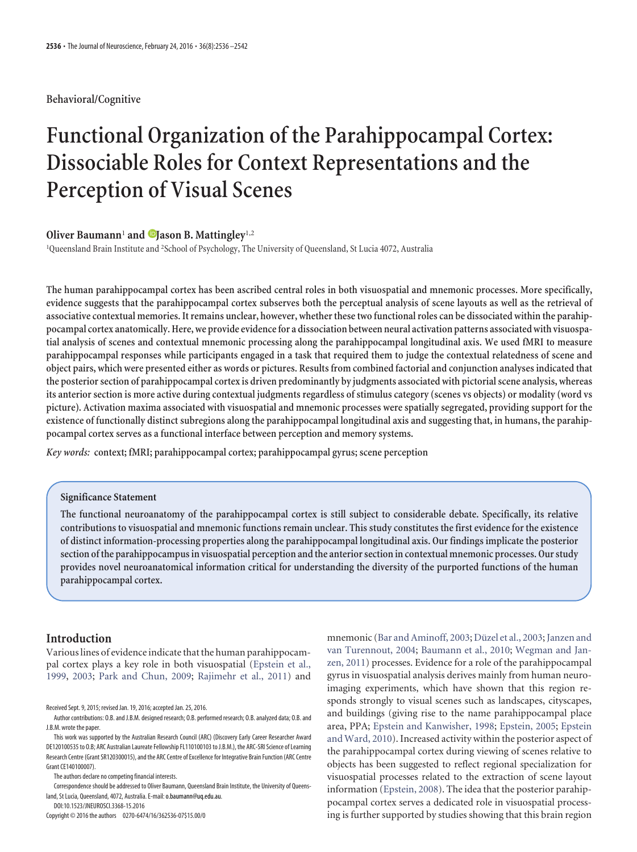## **Behavioral/Cognitive**

# **Functional Organization of the Parahippocampal Cortex: Dissociable Roles for Context Representations and the Perception of Visual Scenes**

# **Oliver Baumann<sup>1</sup> and <b>D**Jason B. Mattingley<sup>1,2</sup>

1 Queensland Brain Institute and <sup>2</sup> School of Psychology, The University of Queensland, St Lucia 4072, Australia

**The human parahippocampal cortex has been ascribed central roles in both visuospatial and mnemonic processes. More specifically, evidence suggests that the parahippocampal cortex subserves both the perceptual analysis of scene layouts as well as the retrieval of associative contextual memories. It remains unclear, however, whether these two functional roles can be dissociated within the parahippocampal cortex anatomically. Here, we provide evidencefor a dissociation between neural activation patterns associated with visuospatial analysis of scenes and contextual mnemonic processing along the parahippocampal longitudinal axis. We used fMRI to measure parahippocampal responses while participants engaged in a task that required them to judge the contextual relatedness of scene and object pairs, which were presented either as words or pictures. Results from combined factorial and conjunction analyses indicated that the posterior section of parahippocampal cortex is driven predominantly by judgments associated with pictorial scene analysis, whereas its anterior section is more active during contextual judgments regardless of stimulus category (scenes vs objects) or modality (word vs picture). Activation maxima associated with visuospatial and mnemonic processes were spatially segregated, providing support for the existence of functionally distinct subregions along the parahippocampal longitudinal axis and suggesting that, in humans, the parahippocampal cortex serves as a functional interface between perception and memory systems.**

*Key words:* **context; fMRI; parahippocampal cortex; parahippocampal gyrus; scene perception**

#### **Significance Statement**

**The functional neuroanatomy of the parahippocampal cortex is still subject to considerable debate. Specifically, its relative contributions to visuospatial and mnemonic functions remain unclear. This study constitutes the first evidence for the existence of distinct information-processing properties along the parahippocampal longitudinal axis. Our findings implicate the posterior section of the parahippocampus in visuospatial perception and the anterior section in contextual mnemonic processes. Our study provides novel neuroanatomical information critical for understanding the diversity of the purported functions of the human parahippocampal cortex.**

# **Introduction**

Various lines of evidence indicate that the human parahippocampal cortex plays a key role in both visuospatial [\(Epstein et al.,](#page-6-0) [1999,](#page-6-0) [2003;](#page-6-1) [Park and Chun, 2009;](#page-7-0) [Rajimehr et al., 2011\)](#page-7-1) and

Received Sept. 9, 2015; revised Jan. 19, 2016; accepted Jan. 25, 2016.

The authors declare no competing financial interests.

Correspondence should be addressed to Oliver Baumann, Queensland Brain Institute, the University of Queensland, St Lucia, Queensland, 4072, Australia. E-mail: o.baumann@uq.edu.au.

DOI:10.1523/JNEUROSCI.3368-15.2016

Copyright © 2016 the authors 0270-6474/16/362536-07\$15.00/0

mnemonic [\(Bar and Aminoff, 2003;](#page-6-2) Düzel et al., 2003; [Janzen and](#page-6-4) [van Turennout, 2004;](#page-6-4) [Baumann et al., 2010;](#page-6-5) [Wegman and Jan](#page-7-2)[zen, 2011\)](#page-7-2) processes. Evidence for a role of the parahippocampal gyrus in visuospatial analysis derives mainly from human neuroimaging experiments, which have shown that this region responds strongly to visual scenes such as landscapes, cityscapes, and buildings (giving rise to the name parahippocampal place area, PPA; [Epstein and Kanwisher, 1998;](#page-6-6) [Epstein, 2005;](#page-6-7) [Epstein](#page-6-8) [and Ward, 2010\)](#page-6-8). Increased activity within the posterior aspect of the parahippocampal cortex during viewing of scenes relative to objects has been suggested to reflect regional specialization for visuospatial processes related to the extraction of scene layout information [\(Epstein, 2008\)](#page-6-9). The idea that the posterior parahippocampal cortex serves a dedicated role in visuospatial processing is further supported by studies showing that this brain region

Author contributions: O.B. and J.B.M. designed research; O.B. performed research; O.B. analyzed data; O.B. and J.B.M. wrote the paper.

This work was supported by the Australian Research Council (ARC) (Discovery Early Career Researcher Award DE120100535 to O.B; ARC Australian Laureate Fellowship FL110100103 to J.B.M.), the ARC-SRI Science of Learning Research Centre (Grant SR120300015), and the ARC Centre of Excellence for Integrative Brain Function (ARC Centre Grant CE140100007).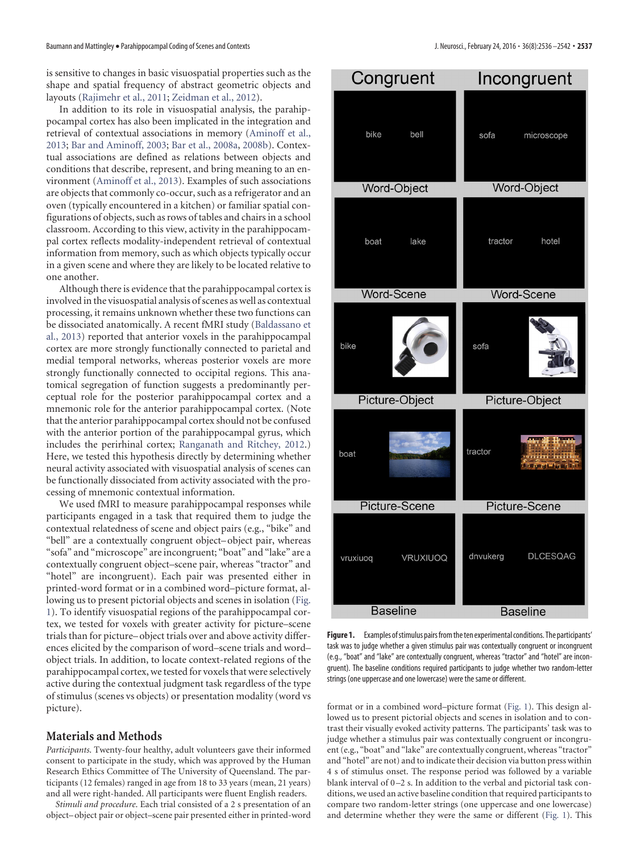is sensitive to changes in basic visuospatial properties such as the shape and spatial frequency of abstract geometric objects and layouts [\(Rajimehr et al., 2011;](#page-7-1) [Zeidman et al., 2012\)](#page-7-3).

In addition to its role in visuospatial analysis, the parahippocampal cortex has also been implicated in the integration and retrieval of contextual associations in memory [\(Aminoff et al.,](#page-6-10) [2013;](#page-6-10) [Bar and Aminoff, 2003;](#page-6-2) [Bar et al., 2008a,](#page-6-11) [2008b\)](#page-6-12). Contextual associations are defined as relations between objects and conditions that describe, represent, and bring meaning to an environment [\(Aminoff et al., 2013\)](#page-6-10). Examples of such associations are objects that commonly co-occur, such as a refrigerator and an oven (typically encountered in a kitchen) or familiar spatial configurations of objects, such as rows of tables and chairs in a school classroom. According to this view, activity in the parahippocampal cortex reflects modality-independent retrieval of contextual information from memory, such as which objects typically occur in a given scene and where they are likely to be located relative to one another.

Although there is evidence that the parahippocampal cortex is involved in the visuospatial analysis of scenes as well as contextual processing, it remains unknown whether these two functions can be dissociated anatomically. A recent fMRI study [\(Baldassano et](#page-6-13) [al., 2013\)](#page-6-13) reported that anterior voxels in the parahippocampal cortex are more strongly functionally connected to parietal and medial temporal networks, whereas posterior voxels are more strongly functionally connected to occipital regions. This anatomical segregation of function suggests a predominantly perceptual role for the posterior parahippocampal cortex and a mnemonic role for the anterior parahippocampal cortex. (Note that the anterior parahippocampal cortex should not be confused with the anterior portion of the parahippocampal gyrus, which includes the perirhinal cortex; [Ranganath and Ritchey, 2012.](#page-7-4)) Here, we tested this hypothesis directly by determining whether neural activity associated with visuospatial analysis of scenes can be functionally dissociated from activity associated with the processing of mnemonic contextual information.

We used fMRI to measure parahippocampal responses while participants engaged in a task that required them to judge the contextual relatedness of scene and object pairs (e.g., "bike" and "bell" are a contextually congruent object– object pair, whereas "sofa" and "microscope" are incongruent; "boat" and "lake" are a contextually congruent object–scene pair, whereas "tractor" and "hotel" are incongruent). Each pair was presented either in printed-word format or in a combined word–picture format, allowing us to present pictorial objects and scenes in isolation [\(Fig.](#page-2-0) [1\)](#page-2-0). To identify visuospatial regions of the parahippocampal cortex, we tested for voxels with greater activity for picture–scene trials than for picture– object trials over and above activity differences elicited by the comparison of word–scene trials and word– object trials. In addition, to locate context-related regions of the parahippocampal cortex, we tested for voxels that were selectively active during the contextual judgment task regardless of the type of stimulus (scenes vs objects) or presentation modality (word vs picture).

## **Materials and Methods**

*Participants*. Twenty-four healthy, adult volunteers gave their informed consent to participate in the study, which was approved by the Human Research Ethics Committee of The University of Queensland. The participants (12 females) ranged in age from 18 to 33 years (mean, 21 years) and all were right-handed. All participants were fluent English readers.

*Stimuli and procedure*. Each trial consisted of a 2 s presentation of an object– object pair or object–scene pair presented either in printed-word

| Congruent            | Incongruent                                                       |  |  |  |  |
|----------------------|-------------------------------------------------------------------|--|--|--|--|
| bike bell            | sofa microscope                                                   |  |  |  |  |
| Word-Object          | <b>Word-Object</b>                                                |  |  |  |  |
| boat lake            | hotel<br>tractor                                                  |  |  |  |  |
| Word-Scene           | <b>Word-Scene</b>                                                 |  |  |  |  |
| bike                 | sofa                                                              |  |  |  |  |
| Picture-Object       | Picture-Object                                                    |  |  |  |  |
| boat                 | an a Treac<br>tractor<br>Vina il Indon<br><b>Mission of Homes</b> |  |  |  |  |
| <b>Picture-Scene</b> | <b>Picture-Scene</b>                                              |  |  |  |  |
| VRUXIUOQ<br>vruxiuoq | dnvukerg<br><b>DLCESQAG</b>                                       |  |  |  |  |
| <b>Baseline</b>      | <b>Baseline</b>                                                   |  |  |  |  |

<span id="page-2-0"></span>Figure 1. Examples of stimulus pairs from the ten experimental conditions. The participants' task was to judge whether a given stimulus pair was contextually congruent or incongruent (e.g., "boat" and "lake" are contextually congruent, whereas "tractor" and "hotel" are incongruent). The baseline conditions required participants to judge whether two random-letter strings (one uppercase and one lowercase) were the same or different.

format or in a combined word–picture format [\(Fig. 1\)](#page-2-0). This design allowed us to present pictorial objects and scenes in isolation and to contrast their visually evoked activity patterns. The participants' task was to judge whether a stimulus pair was contextually congruent or incongruent (e.g., "boat" and "lake" are contextually congruent, whereas "tractor" and "hotel" are not) and to indicate their decision via button press within 4 s of stimulus onset. The response period was followed by a variable blank interval of  $0-2$  s. In addition to the verbal and pictorial task conditions, we used an active baseline condition that required participants to compare two random-letter strings (one uppercase and one lowercase) and determine whether they were the same or different [\(Fig. 1\)](#page-2-0). This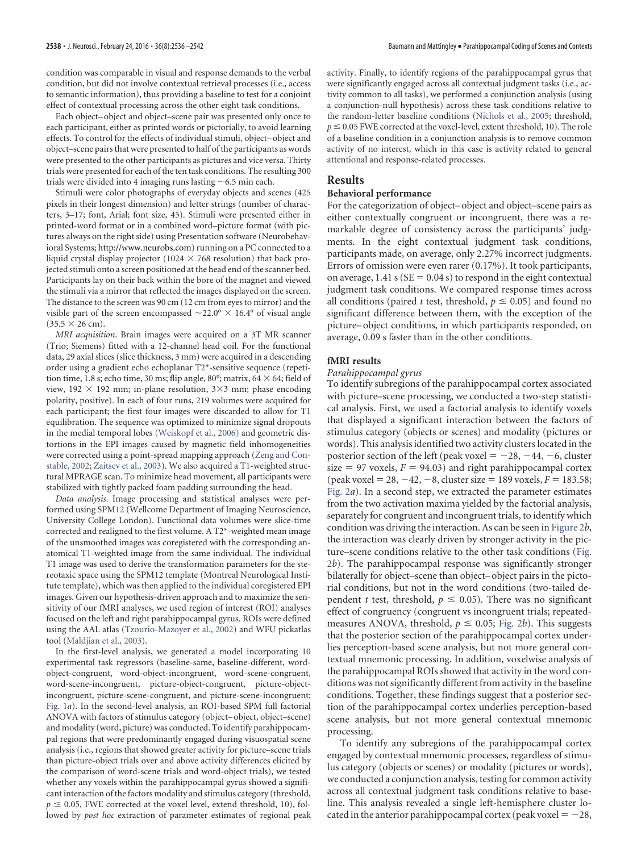condition was comparable in visual and response demands to the verbal condition, but did not involve contextual retrieval processes (i.e., access to semantic information), thus providing a baseline to test for a conjoint effect of contextual processing across the other eight task conditions.

Each object– object and object–scene pair was presented only once to each participant, either as printed words or pictorially, to avoid learning effects. To control for the effects of individual stimuli, object– object and object–scene pairs that were presented to half of the participants as words were presented to the other participants as pictures and vice versa. Thirty trials were presented for each of the ten task conditions. The resulting 300 trials were divided into 4 imaging runs lasting  $\sim$  6.5 min each.

Stimuli were color photographs of everyday objects and scenes (425 pixels in their longest dimension) and letter strings (number of characters, 3–17; font, Arial; font size, 45). Stimuli were presented either in printed-word format or in a combined word–picture format (with pictures always on the right side) using Presentation software (Neurobehavioral Systems; http://www.neurobs.com) running on a PC connected to a liquid crystal display projector (1024  $\times$  768 resolution) that back projected stimuli onto a screen positioned at the head end of the scanner bed. Participants lay on their back within the bore of the magnet and viewed the stimuli via a mirror that reflected the images displayed on the screen. The distance to the screen was 90 cm (12 cm from eyes to mirror) and the visible part of the screen encompassed  ${\sim}22.0^{\circ} \times 16.4^{\circ}$  of visual angle  $(35.5 \times 26$  cm).

*MRI acquisition*. Brain images were acquired on a 3T MR scanner (Trio; Siemens) fitted with a 12-channel head coil. For the functional data, 29 axial slices (slice thickness, 3 mm) were acquired in a descending order using a gradient echo echoplanar T2\*-sensitive sequence (repetition time, 1.8 s; echo time, 30 ms; flip angle, 80°; matrix, 64  $\times$  64; field of view, 192  $\times$  192 mm; in-plane resolution, 3 $\times$ 3 mm; phase encoding polarity, positive). In each of four runs, 219 volumes were acquired for each participant; the first four images were discarded to allow for T1 equilibration. The sequence was optimized to minimize signal dropouts in the medial temporal lobes [\(Weiskopf et al., 2006\)](#page-7-5) and geometric distortions in the EPI images caused by magnetic field inhomogeneities were corrected using a point-spread mapping approach [\(Zeng and Con](#page-7-6)[stable, 2002;](#page-7-6) [Zaitsev et al., 2003\)](#page-7-7). We also acquired a T1-weighted structural MPRAGE scan. To minimize head movement, all participants were stabilized with tightly packed foam padding surrounding the head.

*Data analysis*. Image processing and statistical analyses were performed using SPM12 (Wellcome Department of Imaging Neuroscience, University College London). Functional data volumes were slice-time corrected and realigned to the first volume. A T2\*-weighted mean image of the unsmoothed images was coregistered with the corresponding anatomical T1-weighted image from the same individual. The individual T1 image was used to derive the transformation parameters for the stereotaxic space using the SPM12 template (Montreal Neurological Institute template), which was then applied to the individual coregistered EPI images. Given our hypothesis-driven approach and to maximize the sensitivity of our fMRI analyses, we used region of interest (ROI) analyses focused on the left and right parahippocampal gyrus. ROIs were defined using the AAL atlas [\(Tzourio-Mazoyer et al., 2002\)](#page-7-8) and WFU pickatlas tool [\(Maldjian et al., 2003\)](#page-7-9).

In the first-level analysis, we generated a model incorporating 10 experimental task regressors (baseline-same, baseline-different, wordobject-congruent, word-object-incongruent, word-scene-congruent, word-scene-incongruent, picture-object-congruent, picture-objectincongruent, picture-scene-congruent, and picture-scene-incongruent; [Fig. 1](#page-2-0)*a*). In the second-level analysis, an ROI-based SPM full factorial ANOVA with factors of stimulus category (object– object, object–scene) and modality (word, picture) was conducted. To identify parahippocampal regions that were predominantly engaged during visuospatial scene analysis (i.e., regions that showed greater activity for picture–scene trials than picture-object trials over and above activity differences elicited by the comparison of word-scene trials and word-object trials), we tested whether any voxels within the parahippocampal gyrus showed a significant interaction of the factors modality and stimulus category (threshold,  $p \le 0.05$ , FWE corrected at the voxel level, extend threshold, 10), followed by *post hoc* extraction of parameter estimates of regional peak

activity. Finally, to identify regions of the parahippocampal gyrus that were significantly engaged across all contextual judgment tasks (i.e., activity common to all tasks), we performed a conjunction analysis (using a conjunction-null hypothesis) across these task conditions relative to the random-letter baseline conditions [\(Nichols et al., 2005;](#page-7-10) threshold,  $p \le 0.05$  FWE corrected at the voxel-level, extent threshold, 10). The role of a baseline condition in a conjunction analysis is to remove common activity of no interest, which in this case is activity related to general attentional and response-related processes.

#### **Results**

#### **Behavioral performance**

For the categorization of object– object and object–scene pairs as either contextually congruent or incongruent, there was a remarkable degree of consistency across the participants' judgments. In the eight contextual judgment task conditions, participants made, on average, only 2.27% incorrect judgments. Errors of omission were even rarer (0.17%). It took participants, on average, 1.41 s ( $SE = 0.04$  s) to respond in the eight contextual judgment task conditions. We compared response times across all conditions (paired *t* test, threshold,  $p \leq 0.05$ ) and found no significant difference between them, with the exception of the picture– object conditions, in which participants responded, on average, 0.09 s faster than in the other conditions.

#### **fMRI results**

### *Parahippocampal gyrus*

To identify subregions of the parahippocampal cortex associated with picture–scene processing, we conducted a two-step statistical analysis. First, we used a factorial analysis to identify voxels that displayed a significant interaction between the factors of stimulus category (objects or scenes) and modality (pictures or words). This analysis identified two activity clusters located in the posterior section of the left (peak voxel  $= -28, -44, -6$ , cluster size  $= 97$  voxels,  $F = 94.03$ ) and right parahippocampal cortex  $(\text{peak voxel} = 28, -42, -8, \text{cluster size} = 189 \text{ voxels}, F = 183.58;$ [Fig. 2](#page-4-0)*a*). In a second step, we extracted the parameter estimates from the two activation maxima yielded by the factorial analysis, separately for congruent and incongruent trials, to identify which condition was driving the interaction. As can be seen in [Figure 2](#page-4-0)*b*, the interaction was clearly driven by stronger activity in the picture–scene conditions relative to the other task conditions [\(Fig.](#page-4-0) [2](#page-4-0)*b*). The parahippocampal response was significantly stronger bilaterally for object–scene than object– object pairs in the pictorial conditions, but not in the word conditions (two-tailed dependent *t* test, threshold,  $p \leq 0.05$ ). There was no significant effect of congruency (congruent vs incongruent trials; repeatedmeasures ANOVA, threshold,  $p \le 0.05$ ; [Fig. 2](#page-4-0)*b*). This suggests that the posterior section of the parahippocampal cortex underlies perception-based scene analysis, but not more general contextual mnemonic processing. In addition, voxelwise analysis of the parahippocampal ROIs showed that activity in the word conditions was not significantly different from activity in the baseline conditions. Together, these findings suggest that a posterior section of the parahippocampal cortex underlies perception-based scene analysis, but not more general contextual mnemonic processing.

To identify any subregions of the parahippocampal cortex engaged by contextual mnemonic processes, regardless of stimulus category (objects or scenes) or modality (pictures or words), we conducted a conjunction analysis, testing for common activity across all contextual judgment task conditions relative to baseline. This analysis revealed a single left-hemisphere cluster located in the anterior parahippocampal cortex (peak voxel  $= -28$ ,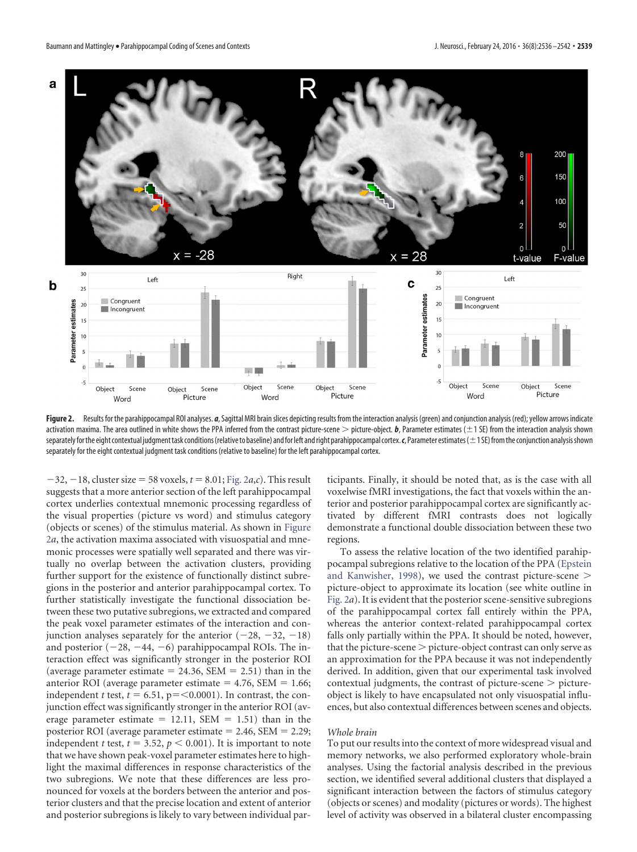

<span id="page-4-0"></span>Figure 2. Results for the parahippocampal ROI analyses. *a*, Sagittal MRI brain slices depicting results from the interaction analysis (green) and conjunction analysis (red); yellow arrows indicate activation maxima. The area outlined in white shows the PPA inferred from the contrast picture-scene  $>$  picture-object. **, Parameter estimates (** $\pm$ **1 SE) from the interaction analysis shown** separatelyforthe eight contextual judgmenttask conditions(relativeto baseline) andfor left andright parahippocampal cortex.*c*, Parameter estimates(1 SE)fromthe conjunction analysisshown separately for the eight contextual judgment task conditions (relative to baseline) for the left parahippocampal cortex.

 $-32, -18$ , cluster size = 58 voxels,  $t = 8.01$ ; [Fig. 2](#page-4-0)*a*,*c*). This result suggests that a more anterior section of the left parahippocampal cortex underlies contextual mnemonic processing regardless of the visual properties (picture vs word) and stimulus category (objects or scenes) of the stimulus material. As shown in [Figure](#page-4-0) [2](#page-4-0)*a*, the activation maxima associated with visuospatial and mnemonic processes were spatially well separated and there was virtually no overlap between the activation clusters, providing further support for the existence of functionally distinct subregions in the posterior and anterior parahippocampal cortex. To further statistically investigate the functional dissociation between these two putative subregions, we extracted and compared the peak voxel parameter estimates of the interaction and conjunction analyses separately for the anterior  $(-28, -32, -18)$ and posterior  $(-28, -44, -6)$  parahippocampal ROIs. The interaction effect was significantly stronger in the posterior ROI (average parameter estimate  $= 24.36$ , SEM  $= 2.51$ ) than in the anterior ROI (average parameter estimate  $= 4.76$ , SEM  $= 1.66$ ; independent *t* test,  $t = 6.51$ ,  $p = 0.0001$ . In contrast, the conjunction effect was significantly stronger in the anterior ROI (average parameter estimate  $= 12.11$ , SEM  $= 1.51$ ) than in the posterior ROI (average parameter estimate  $= 2.46$ , SEM  $= 2.29$ ; independent *t* test,  $t = 3.52$ ,  $p < 0.001$ ). It is important to note that we have shown peak-voxel parameter estimates here to highlight the maximal differences in response characteristics of the two subregions. We note that these differences are less pronounced for voxels at the borders between the anterior and posterior clusters and that the precise location and extent of anterior and posterior subregions is likely to vary between individual participants. Finally, it should be noted that, as is the case with all voxelwise fMRI investigations, the fact that voxels within the anterior and posterior parahippocampal cortex are significantly activated by different fMRI contrasts does not logically demonstrate a functional double dissociation between these two regions.

To assess the relative location of the two identified parahippocampal subregions relative to the location of the PPA [\(Epstein](#page-6-6) [and Kanwisher, 1998\)](#page-6-6), we used the contrast picture-scene picture-object to approximate its location (see white outline in [Fig. 2](#page-4-0)*a*). It is evident that the posterior scene-sensitive subregions of the parahippocampal cortex fall entirely within the PPA, whereas the anterior context-related parahippocampal cortex falls only partially within the PPA. It should be noted, however, that the picture-scene  $>$  picture-object contrast can only serve as an approximation for the PPA because it was not independently derived. In addition, given that our experimental task involved contextual judgments, the contrast of picture-scene  $>$  pictureobject is likely to have encapsulated not only visuospatial influences, but also contextual differences between scenes and objects.

#### *Whole brain*

To put our results into the context of more widespread visual and memory networks, we also performed exploratory whole-brain analyses. Using the factorial analysis described in the previous section, we identified several additional clusters that displayed a significant interaction between the factors of stimulus category (objects or scenes) and modality (pictures or words). The highest level of activity was observed in a bilateral cluster encompassing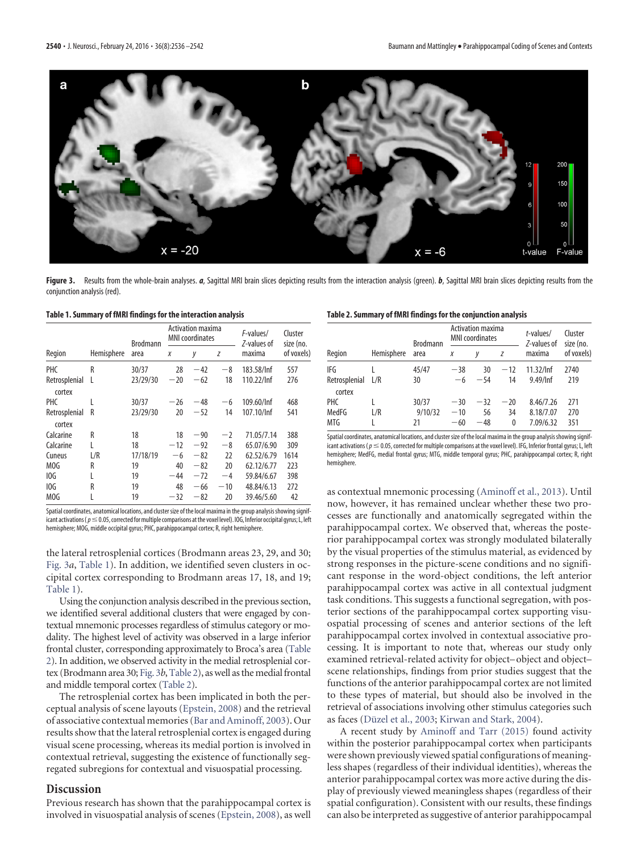

<span id="page-5-0"></span>Figure 3. Results from the whole-brain analyses. *a*, Sagittal MRI brain slices depicting results from the interaction analysis (green). *b*, Sagittal MRI brain slices depicting results from the conjunction analysis (red).

#### <span id="page-5-1"></span>**Table 1. Summary of fMRI findings for the interaction analysis**

|                         | Hemisphere | <b>Brodmann</b><br>area | <b>Activation maxima</b><br><b>MNI</b> coordinates |       |       | F-values/<br>Z-values of | Cluster<br>size (no. |
|-------------------------|------------|-------------------------|----------------------------------------------------|-------|-------|--------------------------|----------------------|
| Region                  |            |                         | Χ                                                  | у     | Z     | maxima                   | of voxels)           |
| <b>PHC</b>              | R          | 30/37                   | 28                                                 | $-42$ | $-8$  | 183.58/Inf               | 557                  |
| Retrosplenial<br>cortex | L          | 23/29/30                | $-20$                                              | $-62$ | 18    | 110.22/Inf               | 276                  |
| <b>PHC</b>              | L          | 30/37                   | $-26$                                              | $-48$ | -6    | 109.60/Inf               | 468                  |
| Retrosplenial<br>cortex | R          | 23/29/30                | 20                                                 | $-52$ | 14    | 107.10/Inf               | 541                  |
| Calcarine               | R          | 18                      | 18                                                 | $-90$ | $-2$  | 71.05/7.14               | 388                  |
| Calcarine               | L          | 18                      | $-12$                                              | $-92$ | $-8$  | 65.07/6.90               | 309                  |
| Cuneus                  | L/R        | 17/18/19                | $-6$                                               | $-82$ | 22    | 62.52/6.79               | 1614                 |
| MOG                     | R          | 19                      | 40                                                 | $-82$ | 20    | 62.12/6.77               | 223                  |
| 10G                     | L          | 19                      | $-44$                                              | $-72$ | $-4$  | 59.84/6.67               | 398                  |
| 10G                     | R          | 19                      | 48                                                 | $-66$ | $-10$ | 48.84/6.13               | 272                  |
| MOG                     | L          | 19                      | $-32$                                              | $-82$ | 20    | 39.46/5.60               | 42                   |

Spatial coordinates, anatomical locations, and cluster size of the local maxima in the group analysis showing significant activations (  $p$   $\leq$  0.05, corrected for multiple comparisons at the voxel level). IOG, Inferior occipital gyrus; L, left hemisphere; MOG, middle occipital gyrus; PHC, parahippocampal cortex; R, right hemisphere.

the lateral retrosplenial cortices (Brodmann areas 23, 29, and 30; [Fig. 3](#page-5-0)*a*, [Table 1\)](#page-5-1). In addition, we identified seven clusters in occipital cortex corresponding to Brodmann areas 17, 18, and 19; [Table 1\)](#page-5-1).

Using the conjunction analysis described in the previous section, we identified several additional clusters that were engaged by contextual mnemonic processes regardless of stimulus category or modality. The highest level of activity was observed in a large inferior frontal cluster, corresponding approximately to Broca's area [\(Table](#page-5-2) [2\)](#page-5-2). In addition, we observed activity in the medial retrosplenial cor-tex (Brodmann area 30; [Fig. 3](#page-5-0)*b*, Table 2), as well as the medial frontal and middle temporal cortex [\(Table 2\)](#page-5-2).

The retrosplenial cortex has been implicated in both the perceptual analysis of scene layouts [\(Epstein, 2008\)](#page-6-9) and the retrieval of associative contextual memories [\(Bar and Aminoff, 2003\)](#page-6-2). Our results show that the lateral retrosplenial cortex is engaged during visual scene processing, whereas its medial portion is involved in contextual retrieval, suggesting the existence of functionally segregated subregions for contextual and visuospatial processing.

#### **Discussion**

Previous research has shown that the parahippocampal cortex is involved in visuospatial analysis of scenes [\(Epstein, 2008\)](#page-6-9), as well

#### <span id="page-5-2"></span>**Table 2. Summary of fMRI findings for the conjunction analysis**

|                         | Hemisphere | <b>Brodmann</b><br>area | <b>Activation maxima</b><br><b>MNI</b> coordinates |       |       | t-values/<br>Z-values of | Cluster<br>size (no. |
|-------------------------|------------|-------------------------|----------------------------------------------------|-------|-------|--------------------------|----------------------|
| Region                  |            |                         | X                                                  | V     | Z     | maxima                   | of voxels)           |
| IFG                     |            | 45/47                   | $-38$                                              | 30    | $-12$ | 11.32/Inf                | 2740                 |
| Retrosplenial<br>cortex | L/R        | 30                      | $-6$                                               | $-54$ | 14    | 9.49/Inf                 | 219                  |
| PHC                     |            | 30/37                   | $-30$                                              | $-32$ | $-20$ | 8.46/7.26                | 271                  |
| MedFG                   | L/R        | 9/10/32                 | $-10$                                              | 56    | 34    | 8.18/7.07                | 270                  |
| MTG                     |            | 21                      | $-60$                                              | $-48$ | 0     | 7.09/6.32                | 351                  |

Spatial coordinates, anatomical locations, and cluster size of the local maxima in the group analysis showing significant activations ( $p \le 0.05$ , corrected for multiple comparisons at the voxel level). IFG, Inferior frontal gyrus; L, left hemisphere; MedFG, medial frontal gyrus; MTG, middle temporal gyrus; PHC, parahippocampal cortex; R, right hemisphere.

as contextual mnemonic processing [\(Aminoff et al., 2013\)](#page-6-10). Until now, however, it has remained unclear whether these two processes are functionally and anatomically segregated within the parahippocampal cortex. We observed that, whereas the posterior parahippocampal cortex was strongly modulated bilaterally by the visual properties of the stimulus material, as evidenced by strong responses in the picture-scene conditions and no significant response in the word-object conditions, the left anterior parahippocampal cortex was active in all contextual judgment task conditions. This suggests a functional segregation, with posterior sections of the parahippocampal cortex supporting visuospatial processing of scenes and anterior sections of the left parahippocampal cortex involved in contextual associative processing. It is important to note that, whereas our study only examined retrieval-related activity for object– object and object– scene relationships, findings from prior studies suggest that the functions of the anterior parahippocampal cortex are not limited to these types of material, but should also be involved in the retrieval of associations involving other stimulus categories such as faces (Düzel et al., 2003; [Kirwan and Stark, 2004\)](#page-6-14).

A recent study by [Aminoff and Tarr \(2015\)](#page-6-15) found activity within the posterior parahippocampal cortex when participants were shown previously viewed spatial configurations of meaningless shapes (regardless of their individual identities), whereas the anterior parahippocampal cortex was more active during the display of previously viewed meaningless shapes (regardless of their spatial configuration). Consistent with our results, these findings can also be interpreted as suggestive of anterior parahippocampal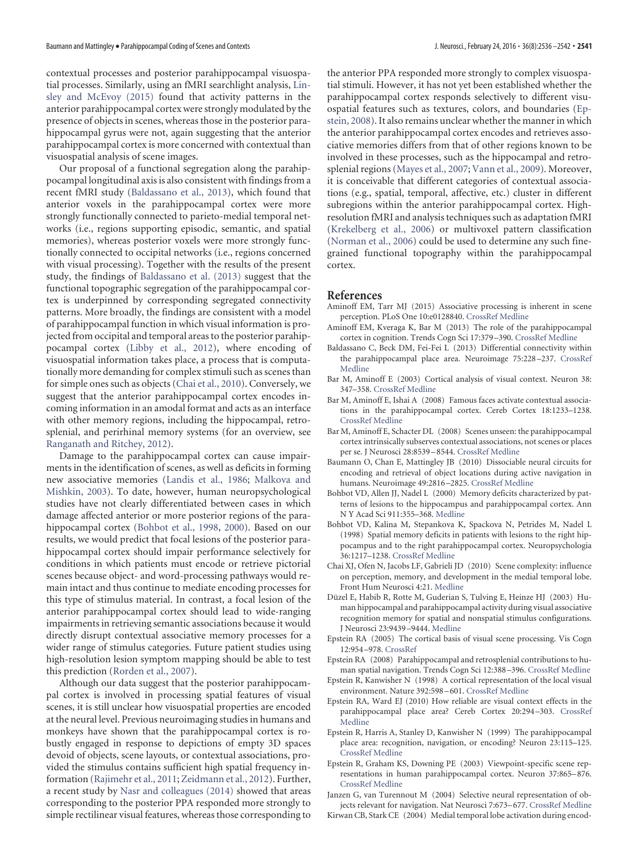contextual processes and posterior parahippocampal visuospatial processes. Similarly, using an fMRI searchlight analysis, [Lin](#page-7-11)[sley and McEvoy \(2015\)](#page-7-11) found that activity patterns in the anterior parahippocampal cortex were strongly modulated by the presence of objects in scenes, whereas those in the posterior parahippocampal gyrus were not, again suggesting that the anterior parahippocampal cortex is more concerned with contextual than visuospatial analysis of scene images.

Our proposal of a functional segregation along the parahippocampal longitudinal axis is also consistent with findings from a recent fMRI study [\(Baldassano et al., 2013\)](#page-6-13), which found that anterior voxels in the parahippocampal cortex were more strongly functionally connected to parieto-medial temporal networks (i.e., regions supporting episodic, semantic, and spatial memories), whereas posterior voxels were more strongly functionally connected to occipital networks (i.e., regions concerned with visual processing). Together with the results of the present study, the findings of [Baldassano et al. \(2013\)](#page-6-13) suggest that the functional topographic segregation of the parahippocampal cortex is underpinned by corresponding segregated connectivity patterns. More broadly, the findings are consistent with a model of parahippocampal function in which visual information is projected from occipital and temporal areas to the posterior parahippocampal cortex [\(Libby et al., 2012\)](#page-7-12), where encoding of visuospatial information takes place, a process that is computationally more demanding for complex stimuli such as scenes than for simple ones such as objects [\(Chai et al., 2010\)](#page-6-16). Conversely, we suggest that the anterior parahippocampal cortex encodes incoming information in an amodal format and acts as an interface with other memory regions, including the hippocampal, retrosplenial, and perirhinal memory systems (for an overview, see [Ranganath and Ritchey, 2012\)](#page-7-4).

Damage to the parahippocampal cortex can cause impairments in the identification of scenes, as well as deficits in forming new associative memories [\(Landis et al., 1986;](#page-7-13) [Malkova and](#page-7-14) [Mishkin, 2003\)](#page-7-14). To date, however, human neuropsychological studies have not clearly differentiated between cases in which damage affected anterior or more posterior regions of the parahippocampal cortex [\(Bohbot et al., 1998,](#page-6-17) [2000\)](#page-6-18). Based on our results, we would predict that focal lesions of the posterior parahippocampal cortex should impair performance selectively for conditions in which patients must encode or retrieve pictorial scenes because object- and word-processing pathways would remain intact and thus continue to mediate encoding processes for this type of stimulus material. In contrast, a focal lesion of the anterior parahippocampal cortex should lead to wide-ranging impairments in retrieving semantic associations because it would directly disrupt contextual associative memory processes for a wider range of stimulus categories. Future patient studies using high-resolution lesion symptom mapping should be able to test this prediction [\(Rorden et al., 2007\)](#page-7-15).

Although our data suggest that the posterior parahippocampal cortex is involved in processing spatial features of visual scenes, it is still unclear how visuospatial properties are encoded at the neural level. Previous neuroimaging studies in humans and monkeys have shown that the parahippocampal cortex is robustly engaged in response to depictions of empty 3D spaces devoid of objects, scene layouts, or contextual associations, provided the stimulus contains sufficient high spatial frequency information [\(Rajimehr et al., 2011;](#page-7-1) [Zeidmann et al., 2012\)](#page-7-3). Further, a recent study by [Nasr and colleagues \(2014\)](#page-7-16) showed that areas corresponding to the posterior PPA responded more strongly to simple rectilinear visual features, whereas those corresponding to

the anterior PPA responded more strongly to complex visuospatial stimuli. However, it has not yet been established whether the parahippocampal cortex responds selectively to different visuospatial features such as textures, colors, and boundaries [\(Ep](#page-6-9)[stein, 2008\)](#page-6-9). It also remains unclear whether the manner in which the anterior parahippocampal cortex encodes and retrieves associative memories differs from that of other regions known to be involved in these processes, such as the hippocampal and retrosplenial regions [\(Mayes et al., 2007;](#page-7-17) [Vann et al., 2009\)](#page-7-18). Moreover, it is conceivable that different categories of contextual associations (e.g., spatial, temporal, affective, etc.) cluster in different subregions within the anterior parahippocampal cortex. Highresolution fMRI and analysis techniques such as adaptation fMRI [\(Krekelberg et al., 2006\)](#page-7-19) or multivoxel pattern classification [\(Norman et al., 2006\)](#page-7-20) could be used to determine any such finegrained functional topography within the parahippocampal cortex.

#### **References**

- <span id="page-6-15"></span>Aminoff EM, Tarr MJ (2015) Associative processing is inherent in scene perception. PLoS One 10:e0128840. [CrossRef](http://dx.doi.org/10.1371/journal.pone.0128840) [Medline](http://www.ncbi.nlm.nih.gov/pubmed/26070142)
- <span id="page-6-10"></span>Aminoff EM, Kveraga K, Bar M (2013) The role of the parahippocampal cortex in cognition. Trends Cogn Sci 17:379 –390. [CrossRef](http://dx.doi.org/10.1016/j.tics.2013.06.009) [Medline](http://www.ncbi.nlm.nih.gov/pubmed/23850264)
- <span id="page-6-13"></span>Baldassano C, Beck DM, Fei-Fei L (2013) Differential connectivity within the parahippocampal place area. Neuroimage 75:228 –237. [CrossRef](http://dx.doi.org/10.1016/j.neuroimage.2013.02.073) [Medline](http://www.ncbi.nlm.nih.gov/pubmed/23507385)
- <span id="page-6-2"></span>Bar M, Aminoff E (2003) Cortical analysis of visual context. Neuron 38: 347–358. [CrossRef](http://dx.doi.org/10.1016/S0896-6273(03)00167-3) [Medline](http://www.ncbi.nlm.nih.gov/pubmed/12718867)
- <span id="page-6-11"></span>Bar M, Aminoff E, Ishai A (2008) Famous faces activate contextual associations in the parahippocampal cortex. Cereb Cortex 18:1233–1238. [CrossRef](http://dx.doi.org/10.1093/cercor/bhm170) [Medline](http://www.ncbi.nlm.nih.gov/pubmed/17934188)
- <span id="page-6-12"></span>Bar M, Aminoff E, Schacter DL (2008) Scenes unseen: the parahippocampal cortex intrinsically subserves contextual associations, not scenes or places per se. J Neurosci 28:8539 –8544. [CrossRef](http://dx.doi.org/10.1523/JNEUROSCI.0987-08.2008) [Medline](http://www.ncbi.nlm.nih.gov/pubmed/18716212)
- <span id="page-6-5"></span>Baumann O, Chan E, Mattingley JB (2010) Dissociable neural circuits for encoding and retrieval of object locations during active navigation in humans. Neuroimage 49:2816 –2825. [CrossRef](http://dx.doi.org/10.1016/j.neuroimage.2009.10.021) [Medline](http://www.ncbi.nlm.nih.gov/pubmed/19837178)
- <span id="page-6-18"></span>Bohbot VD, Allen JJ, Nadel L (2000) Memory deficits characterized by patterns of lesions to the hippocampus and parahippocampal cortex. Ann N Y Acad Sci 911:355–368. [Medline](http://www.ncbi.nlm.nih.gov/pubmed/10911885)
- <span id="page-6-17"></span>Bohbot VD, Kalina M, Stepankova K, Spackova N, Petrides M, Nadel L (1998) Spatial memory deficits in patients with lesions to the right hippocampus and to the right parahippocampal cortex. Neuropsychologia 36:1217–1238. [CrossRef](http://dx.doi.org/10.1016/S0028-3932(97)00161-9) [Medline](http://www.ncbi.nlm.nih.gov/pubmed/9842767)
- <span id="page-6-16"></span>Chai XJ, Ofen N, Jacobs LF, Gabrieli JD (2010) Scene complexity: influence on perception, memory, and development in the medial temporal lobe. Front Hum Neurosci 4:21. [Medline](http://www.ncbi.nlm.nih.gov/pubmed/20224820)
- <span id="page-6-3"></span>Düzel E, Habib R, Rotte M, Guderian S, Tulving E, Heinze HJ (2003) Human hippocampal and parahippocampal activity during visual associative recognition memory for spatial and nonspatial stimulus configurations. J Neurosci 23:9439 –9444. [Medline](http://www.ncbi.nlm.nih.gov/pubmed/14561873)
- <span id="page-6-7"></span>Epstein RA (2005) The cortical basis of visual scene processing. Vis Cogn 12:954 –978. [CrossRef](http://dx.doi.org/10.1080/13506280444000607)
- <span id="page-6-9"></span>Epstein RA (2008) Parahippocampal and retrosplenial contributions to human spatial navigation. Trends Cogn Sci 12:388 –396. [CrossRef](http://dx.doi.org/10.1016/j.tics.2008.07.004) [Medline](http://www.ncbi.nlm.nih.gov/pubmed/18760955)
- <span id="page-6-6"></span>Epstein R, Kanwisher N (1998) A cortical representation of the local visual environment. Nature 392:598 –601. [CrossRef](http://dx.doi.org/10.1038/33402) [Medline](http://www.ncbi.nlm.nih.gov/pubmed/9560155)
- <span id="page-6-8"></span>Epstein RA, Ward EJ (2010) How reliable are visual context effects in the parahippocampal place area? Cereb Cortex 20:294 –303. [CrossRef](http://dx.doi.org/10.1093/cercor/bhp099) [Medline](http://www.ncbi.nlm.nih.gov/pubmed/19457939)
- <span id="page-6-0"></span>Epstein R, Harris A, Stanley D, Kanwisher N (1999) The parahippocampal place area: recognition, navigation, or encoding? Neuron 23:115–125. [CrossRef](http://dx.doi.org/10.1016/S0896-6273(00)80758-8) [Medline](http://www.ncbi.nlm.nih.gov/pubmed/10402198)
- <span id="page-6-1"></span>Epstein R, Graham KS, Downing PE (2003) Viewpoint-specific scene representations in human parahippocampal cortex. Neuron 37:865–876. [CrossRef](http://dx.doi.org/10.1016/S0896-6273(03)00117-X) [Medline](http://www.ncbi.nlm.nih.gov/pubmed/12628176)

<span id="page-6-4"></span>Janzen G, van Turennout M (2004) Selective neural representation of objects relevant for navigation. Nat Neurosci 7:673–677. [CrossRef](http://dx.doi.org/10.1038/nn1257) [Medline](http://www.ncbi.nlm.nih.gov/pubmed/15146191)

<span id="page-6-14"></span>Kirwan CB, Stark CE (2004) Medial temporal lobe activation during encod-